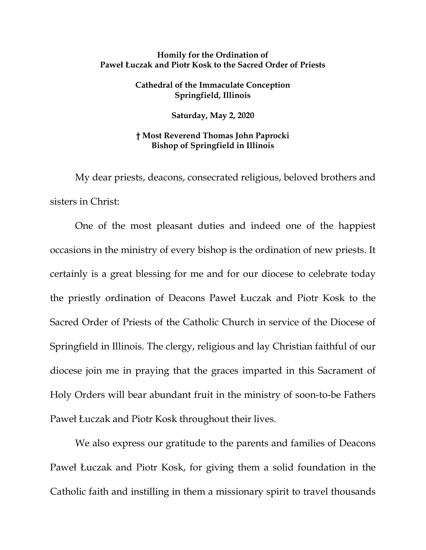## **Homily for the Ordination of Paweł Łuczak and Piotr Kosk to the Sacred Order of Priests**

## **Cathedral of the Immaculate Conception Springfield, Illinois**

**Saturday, May 2, 2020**

## **† Most Reverend Thomas John Paprocki Bishop of Springfield in Illinois**

My dear priests, deacons, consecrated religious, beloved brothers and sisters in Christ:

One of the most pleasant duties and indeed one of the happiest occasions in the ministry of every bishop is the ordination of new priests. It certainly is a great blessing for me and for our diocese to celebrate today the priestly ordination of Deacons Paweł Łuczak and Piotr Kosk to the Sacred Order of Priests of the Catholic Church in service of the Diocese of Springfield in Illinois. The clergy, religious and lay Christian faithful of our diocese join me in praying that the graces imparted in this Sacrament of Holy Orders will bear abundant fruit in the ministry of soon-to-be Fathers Paweł Łuczak and Piotr Kosk throughout their lives.

We also express our gratitude to the parents and families of Deacons Paweł Łuczak and Piotr Kosk, for giving them a solid foundation in the Catholic faith and instilling in them a missionary spirit to travel thousands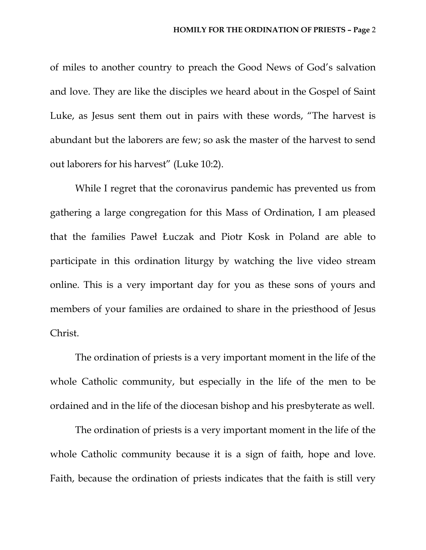of miles to another country to preach the Good News of God's salvation and love. They are like the disciples we heard about in the Gospel of Saint Luke, as Jesus sent them out in pairs with these words, "The harvest is abundant but the laborers are few; so ask the master of the harvest to send out laborers for his harvest" (Luke 10:2).

While I regret that the coronavirus pandemic has prevented us from gathering a large congregation for this Mass of Ordination, I am pleased that the families Paweł Łuczak and Piotr Kosk in Poland are able to participate in this ordination liturgy by watching the live video stream online. This is a very important day for you as these sons of yours and members of your families are ordained to share in the priesthood of Jesus Christ.

The ordination of priests is a very important moment in the life of the whole Catholic community, but especially in the life of the men to be ordained and in the life of the diocesan bishop and his presbyterate as well.

The ordination of priests is a very important moment in the life of the whole Catholic community because it is a sign of faith, hope and love. Faith, because the ordination of priests indicates that the faith is still very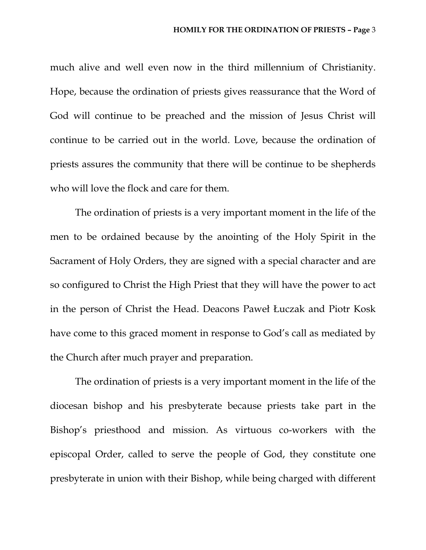much alive and well even now in the third millennium of Christianity. Hope, because the ordination of priests gives reassurance that the Word of God will continue to be preached and the mission of Jesus Christ will continue to be carried out in the world. Love, because the ordination of priests assures the community that there will be continue to be shepherds who will love the flock and care for them.

The ordination of priests is a very important moment in the life of the men to be ordained because by the anointing of the Holy Spirit in the Sacrament of Holy Orders, they are signed with a special character and are so configured to Christ the High Priest that they will have the power to act in the person of Christ the Head. Deacons Paweł Łuczak and Piotr Kosk have come to this graced moment in response to God's call as mediated by the Church after much prayer and preparation.

The ordination of priests is a very important moment in the life of the diocesan bishop and his presbyterate because priests take part in the Bishop's priesthood and mission. As virtuous co-workers with the episcopal Order, called to serve the people of God, they constitute one presbyterate in union with their Bishop, while being charged with different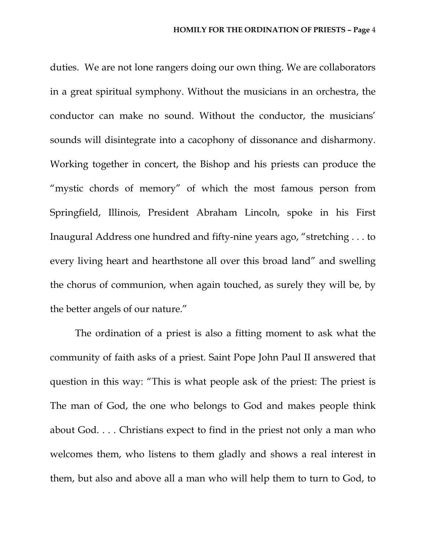duties. We are not lone rangers doing our own thing. We are collaborators in a great spiritual symphony. Without the musicians in an orchestra, the conductor can make no sound. Without the conductor, the musicians' sounds will disintegrate into a cacophony of dissonance and disharmony. Working together in concert, the Bishop and his priests can produce the "mystic chords of memory" of which the most famous person from Springfield, Illinois, President Abraham Lincoln, spoke in his First Inaugural Address one hundred and fifty-nine years ago, "stretching . . . to every living heart and hearthstone all over this broad land" and swelling the chorus of communion, when again touched, as surely they will be, by the better angels of our nature."

The ordination of a priest is also a fitting moment to ask what the community of faith asks of a priest. Saint Pope John Paul II answered that question in this way: "This is what people ask of the priest: The priest is The man of God, the one who belongs to God and makes people think about God. . . . Christians expect to find in the priest not only a man who welcomes them, who listens to them gladly and shows a real interest in them, but also and above all a man who will help them to turn to God, to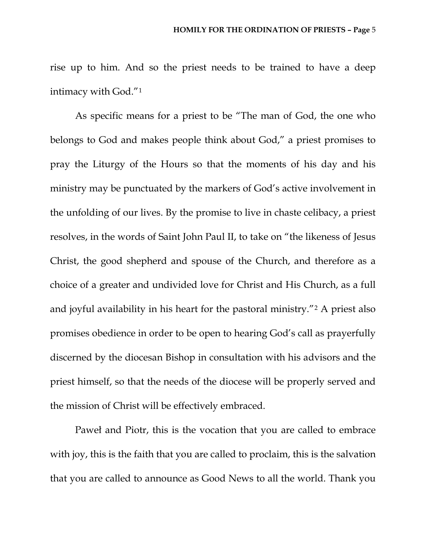rise up to him. And so the priest needs to be trained to have a deep intimacy with God."[1](#page-5-0)

As specific means for a priest to be "The man of God, the one who belongs to God and makes people think about God," a priest promises to pray the Liturgy of the Hours so that the moments of his day and his ministry may be punctuated by the markers of God's active involvement in the unfolding of our lives. By the promise to live in chaste celibacy, a priest resolves, in the words of Saint John Paul II, to take on "the likeness of Jesus Christ, the good shepherd and spouse of the Church, and therefore as a choice of a greater and undivided love for Christ and His Church, as a full and joyful availability in his heart for the pastoral ministry."[2](#page-5-1) A priest also promises obedience in order to be open to hearing God's call as prayerfully discerned by the diocesan Bishop in consultation with his advisors and the priest himself, so that the needs of the diocese will be properly served and the mission of Christ will be effectively embraced.

Paweł and Piotr, this is the vocation that you are called to embrace with joy, this is the faith that you are called to proclaim, this is the salvation that you are called to announce as Good News to all the world. Thank you